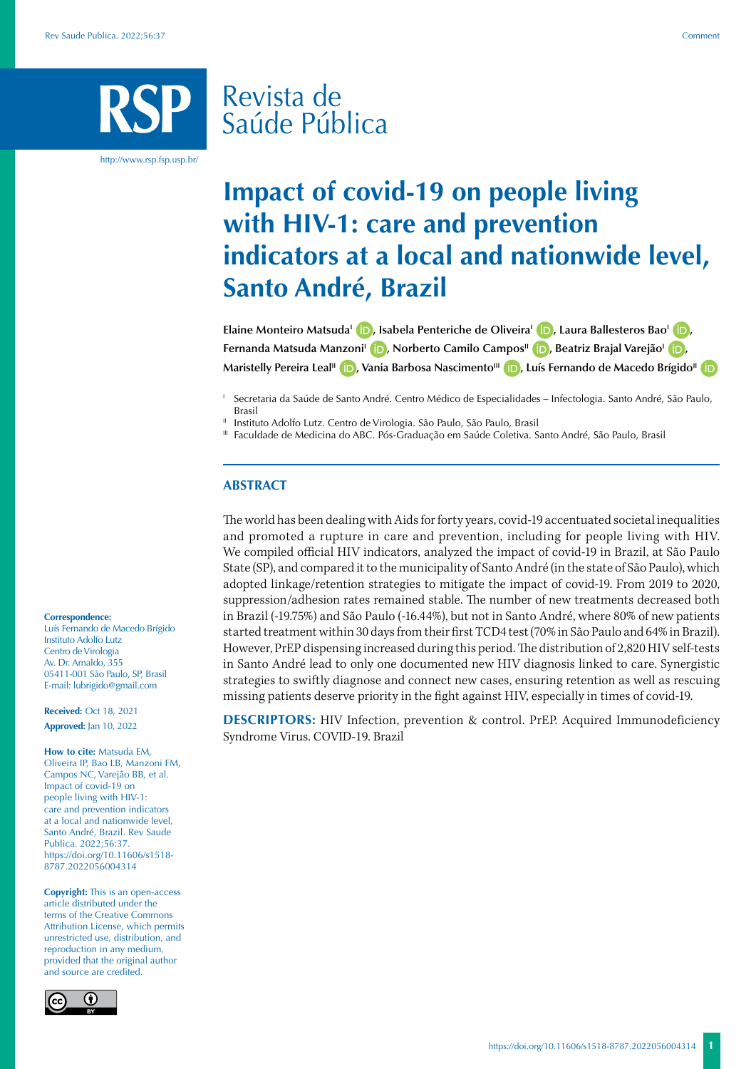# Revista de Saúde Pública

http://www.rsp.fsp.usp.br/

# **Impact of covid-19 on people living with HIV-1: care and prevention indicators at a local and nationwide level, Santo André, Brazil**

**Elaine Monteiro Matsuda<sup>l</sup> (D)[,](https://orcid.org/0000-0003-2202-0443) Isabela Penteriche de Oliveira<sup>l</sup> (D)[,](https://orcid.org/0000-0001-5814-6262) Laura Ballesteros Bao<sup>1</sup> (D), Fernanda Matsuda Manzoni<sup>I</sup> (D)[,](https://orcid.org/0000-0003-1425-9825) Norberto Camilo Campos<sup>II</sup> (D)[,](https://orcid.org/0000-0003-2467-0677) Beatriz Brajal Varejão<sup>I</sup> (D),** Maristelly Pereira Leal<sup>II</sup> **D**[,](https://orcid.org/0000-0001-6749-2300) Vania Barbosa Nascimento<sup>III</sup> **D**[,](https://orcid.org/0000-0002-4534-024X) Luís Fernando de Macedo Brígido<sup>II</sup> D

<sup>I</sup> Secretaria da Saúde de Santo André. Centro Médico de Especialidades – Infectologia. Santo André, São Paulo, Brasil

Instituto Adolfo Lutz. Centro de Virologia. São Paulo, São Paulo, Brasil

III Faculdade de Medicina do ABC. Pós-Graduação em Saúde Coletiva. Santo André, São Paulo, Brasil

### **ABSTRACT**

The world has been dealing with Aids for forty years, covid-19 accentuated societal inequalities and promoted a rupture in care and prevention, including for people living with HIV. We compiled official HIV indicators, analyzed the impact of covid-19 in Brazil, at São Paulo State (SP), and compared it to the municipality of Santo André (in the state of São Paulo), which adopted linkage/retention strategies to mitigate the impact of covid-19. From 2019 to 2020, suppression/adhesion rates remained stable. The number of new treatments decreased both in Brazil (-19.75%) and São Paulo (-16.44%), but not in Santo André, where 80% of new patients started treatment within 30 days from their first TCD4 test (70% in São Paulo and 64% in Brazil). However, PrEP dispensing increased during this period. The distribution of 2,820 HIV self-tests in Santo André lead to only one documented new HIV diagnosis linked to care. Synergistic strategies to swiftly diagnose and connect new cases, ensuring retention as well as rescuing missing patients deserve priority in the fight against HIV, especially in times of covid-19.

**DESCRIPTORS:** HIV Infection, prevention & control. PrEP. Acquired Immunodeficiency Syndrome Virus. COVID-19. Brazil

#### **Correspondence:**

Luís Fernando de Macedo Brígido Instituto Adolfo Lutz Centro de Virologia Av. Dr. Arnaldo, 355 05411-001 São Paulo, SP, Brasil E-mail: lubrigido@gmail.com

**Received:** Oct 18, 2021 **Approved:** Jan 10, 2022

**How to cite:** Matsuda EM, Oliveira IP, Bao LB, Manzoni FM, Campos NC, Varejão BB, et al. Impact of covid-19 on people living with HIV-1: care and prevention indicators at a local and nationwide level, Santo André, Brazil. Rev Saude Publica. 2022;56:37. https://doi.org/10.11606/s1518- 8787.2022056004314

**Copyright:** This is an open-access article distributed under the terms of the Creative Commons Attribution License, which permits unrestricted use, distribution, and reproduction in any medium, provided that the original author and source are credited.

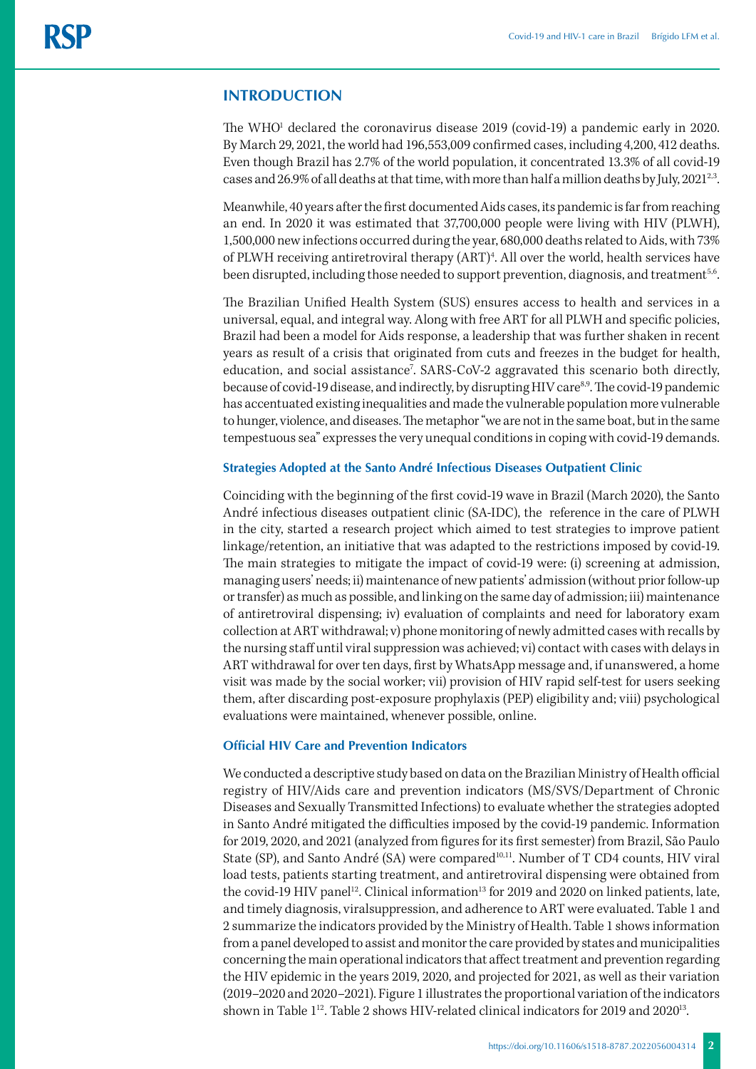## **INTRODUCTION**

The WHO<sup>1</sup> declared the coronavirus disease 2019 (covid-19) a pandemic early in 2020. By March 29, 2021, the world had 196,553,009 confirmed cases, including 4,200, 412 deaths. Even though Brazil has 2.7% of the world population, it concentrated 13.3% of all covid-19 cases and 26.9% of all deaths at that time, with more than half a million deaths by July, 2021<sup>2,3</sup>.

Meanwhile, 40 years after the first documented Aids cases, its pandemic is far from reaching an end. In 2020 it was estimated that 37,700,000 people were living with HIV (PLWH), 1,500,000 new infections occurred during the year, 680,000 deaths related to Aids, with 73% of PLWH receiving antiretroviral therapy (ART)<sup>4</sup>. All over the world, health services have been disrupted, including those needed to support prevention, diagnosis, and treatment<sup>5,6</sup>.

The Brazilian Unified Health System (SUS) ensures access to health and services in a universal, equal, and integral way. Along with free ART for all PLWH and specific policies, Brazil had been a model for Aids response, a leadership that was further shaken in recent years as result of a crisis that originated from cuts and freezes in the budget for health, education, and social assistance<sup>7</sup>. SARS-CoV-2 aggravated this scenario both directly, because of covid-19 disease, and indirectly, by disrupting HIV care<sup>8,9</sup>. The covid-19 pandemic has accentuated existing inequalities and made the vulnerable population more vulnerable to hunger, violence, and diseases. The metaphor "we are not in the same boat, but in the same tempestuous sea" expresses the very unequal conditions in coping with covid-19 demands.

#### **Strategies Adopted at the Santo André Infectious Diseases Outpatient Clinic**

Coinciding with the beginning of the first covid-19 wave in Brazil (March 2020), the Santo André infectious diseases outpatient clinic (SA-IDC), the reference in the care of PLWH in the city, started a research project which aimed to test strategies to improve patient linkage/retention, an initiative that was adapted to the restrictions imposed by covid-19. The main strategies to mitigate the impact of covid-19 were: (i) screening at admission, managing users' needs; ii) maintenance of new patients' admission (without prior follow-up or transfer) as much as possible, and linking on the same day of admission; iii) maintenance of antiretroviral dispensing; iv) evaluation of complaints and need for laboratory exam collection at ART withdrawal; v) phone monitoring of newly admitted cases with recalls by the nursing staff until viral suppression was achieved; vi) contact with cases with delays in ART withdrawal for over ten days, first by WhatsApp message and, if unanswered, a home visit was made by the social worker; vii) provision of HIV rapid self-test for users seeking them, after discarding post-exposure prophylaxis (PEP) eligibility and; viii) psychological evaluations were maintained, whenever possible, online.

### **Official HIV Care and Prevention Indicators**

We conducted a descriptive study based on data on the Brazilian Ministry of Health official registry of HIV/Aids care and prevention indicators (MS/SVS/Department of Chronic Diseases and Sexually Transmitted Infections) to evaluate whether the strategies adopted in Santo André mitigated the difficulties imposed by the covid-19 pandemic. Information for 2019, 2020, and 2021 (analyzed from figures for its first semester) from Brazil, São Paulo State (SP), and Santo André (SA) were compared<sup>10,11</sup>. Number of T CD4 counts, HIV viral load tests, patients starting treatment, and antiretroviral dispensing were obtained from the covid-19 HIV panel<sup>12</sup>. Clinical information<sup>13</sup> for 2019 and 2020 on linked patients, late, and timely diagnosis, viralsuppression, and adherence to ART were evaluated. Table 1 and 2 summarize the indicators provided by the Ministry of Health. Table 1 shows information from a panel developed to assist and monitor the care provided by states and municipalities concerning the main operational indicators that affect treatment and prevention regarding the HIV epidemic in the years 2019, 2020, and projected for 2021, as well as their variation (2019–2020 and 2020–2021). Figure 1 illustrates the proportional variation of the indicators shown in Table 1<sup>12</sup>. Table 2 shows HIV-related clinical indicators for 2019 and 2020<sup>13</sup>.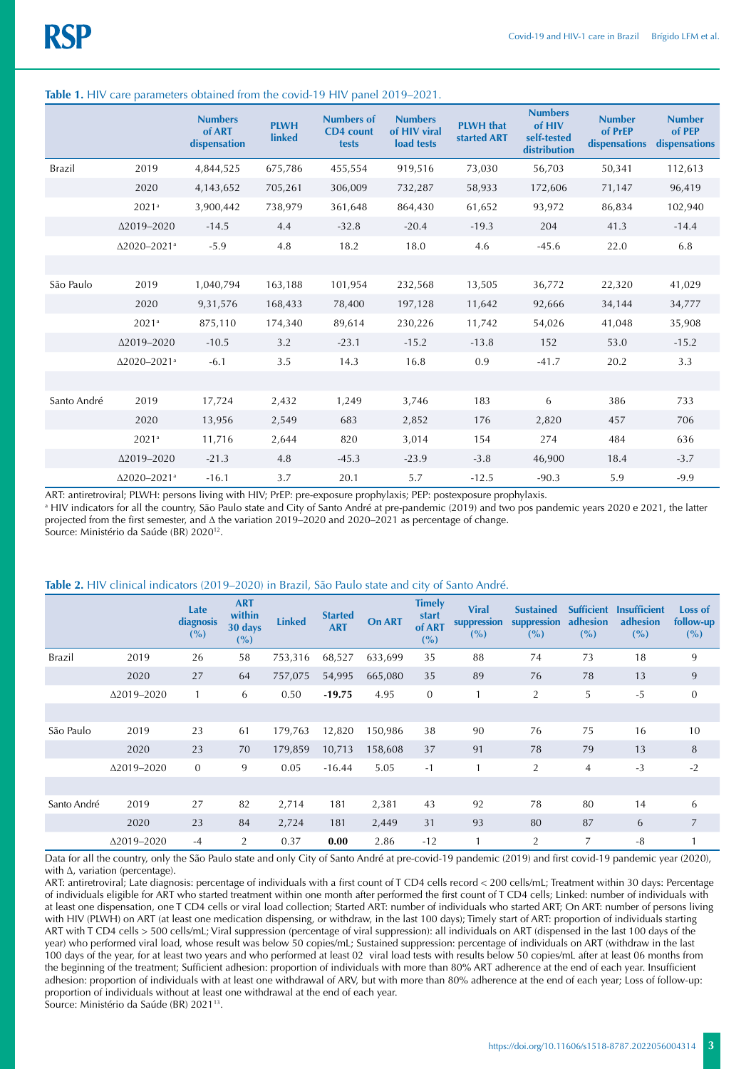|             |                                 | <b>Numbers</b><br>of ART<br>dispensation | <b>PLWH</b><br><b>linked</b> | <b>Numbers of</b><br><b>CD4</b> count<br>tests | <b>Numbers</b><br>of HIV viral<br>load tests | <b>PLWH</b> that<br>started <b>ART</b> | <b>Numbers</b><br>of HIV<br>self-tested<br>distribution | <b>Number</b><br>of PrEP<br>dispensations | <b>Number</b><br>of PEP<br>dispensations |
|-------------|---------------------------------|------------------------------------------|------------------------------|------------------------------------------------|----------------------------------------------|----------------------------------------|---------------------------------------------------------|-------------------------------------------|------------------------------------------|
| Brazil      | 2019                            | 4,844,525                                | 675,786                      | 455,554                                        | 919,516                                      | 73,030                                 | 56,703                                                  | 50,341                                    | 112,613                                  |
|             | 2020                            | 4,143,652                                | 705,261                      | 306,009                                        | 732,287                                      | 58,933                                 | 172,606                                                 | 71,147                                    | 96,419                                   |
|             | 2021 <sup>a</sup>               | 3,900,442                                | 738,979                      | 361,648                                        | 864,430                                      | 61,652                                 | 93,972                                                  | 86,834                                    | 102,940                                  |
|             | Δ2019-2020                      | $-14.5$                                  | 4.4                          | $-32.8$                                        | $-20.4$                                      | $-19.3$                                | 204                                                     | 41.3                                      | $-14.4$                                  |
|             | $\Delta$ 2020-2021 <sup>a</sup> | $-5.9$                                   | 4.8                          | 18.2                                           | 18.0                                         | 4.6                                    | $-45.6$                                                 | 22.0                                      | 6.8                                      |
|             |                                 |                                          |                              |                                                |                                              |                                        |                                                         |                                           |                                          |
| São Paulo   | 2019                            | 1,040,794                                | 163,188                      | 101,954                                        | 232,568                                      | 13,505                                 | 36,772                                                  | 22,320                                    | 41,029                                   |
|             | 2020                            | 9,31,576                                 | 168,433                      | 78,400                                         | 197,128                                      | 11,642                                 | 92,666                                                  | 34,144                                    | 34,777                                   |
|             | 2021 <sup>a</sup>               | 875,110                                  | 174,340                      | 89,614                                         | 230,226                                      | 11,742                                 | 54,026                                                  | 41,048                                    | 35,908                                   |
|             | Δ2019-2020                      | $-10.5$                                  | 3.2                          | $-23.1$                                        | $-15.2$                                      | $-13.8$                                | 152                                                     | 53.0                                      | $-15.2$                                  |
|             | $\Delta$ 2020-2021 <sup>a</sup> | $-6.1$                                   | 3.5                          | 14.3                                           | 16.8                                         | 0.9                                    | $-41.7$                                                 | 20.2                                      | 3.3                                      |
|             |                                 |                                          |                              |                                                |                                              |                                        |                                                         |                                           |                                          |
| Santo André | 2019                            | 17,724                                   | 2,432                        | 1,249                                          | 3,746                                        | 183                                    | 6                                                       | 386                                       | 733                                      |
|             | 2020                            | 13,956                                   | 2,549                        | 683                                            | 2,852                                        | 176                                    | 2,820                                                   | 457                                       | 706                                      |
|             | 2021 <sup>a</sup>               | 11,716                                   | 2,644                        | 820                                            | 3,014                                        | 154                                    | 274                                                     | 484                                       | 636                                      |
|             | Δ2019-2020                      | $-21.3$                                  | 4.8                          | $-45.3$                                        | $-23.9$                                      | $-3.8$                                 | 46,900                                                  | 18.4                                      | $-3.7$                                   |
|             | $\Delta$ 2020-2021 <sup>a</sup> | $-16.1$                                  | 3.7                          | 20.1                                           | 5.7                                          | $-12.5$                                | $-90.3$                                                 | 5.9                                       | $-9.9$                                   |

#### **Table 1.** HIV care parameters obtained from the covid-19 HIV panel 2019–2021.

ART: antiretroviral; PLWH: persons living with HIV; PrEP: pre-exposure prophylaxis; PEP: postexposure prophylaxis.

a HIV indicators for all the country, São Paulo state and City of Santo André at pre-pandemic (2019) and two pos pandemic years 2020 e 2021, the latter projected from the first semester, and ∆ the variation 2019–2020 and 2020–2021 as percentage of change.

Source: Ministério da Saúde (BR) 202012.

#### **Table 2.** HIV clinical indicators (2019–2020) in Brazil, São Paulo state and city of Santo André.

|               |                    | Late<br>diagnosis<br>(%) | <b>ART</b><br>within<br>30 days<br>(%) | <b>Linked</b> | <b>Started</b><br><b>ART</b> | <b>On ART</b> | <b>Timely</b><br>start<br>of ART<br>(%) | <b>Viral</b><br>suppression<br>(%) | <b>Sustained</b><br>suppression<br>(%) | <b>Sufficient</b><br>adhesion<br>(%) | <b>Insufficient</b><br>adhesion<br>(%) | Loss of<br>follow-up<br>(%) |
|---------------|--------------------|--------------------------|----------------------------------------|---------------|------------------------------|---------------|-----------------------------------------|------------------------------------|----------------------------------------|--------------------------------------|----------------------------------------|-----------------------------|
| <b>Brazil</b> | 2019               | 26                       | 58                                     | 753,316       | 68,527                       | 633,699       | 35                                      | 88                                 | 74                                     | 73                                   | 18                                     | 9                           |
|               | 2020               | 27                       | 64                                     | 757,075       | 54,995                       | 665,080       | 35                                      | 89                                 | 76                                     | 78                                   | 13                                     | 9                           |
|               | $\Delta$ 2019–2020 | $\mathbf{1}$             | 6                                      | 0.50          | $-19.75$                     | 4.95          | $\mathbf{0}$                            |                                    | $\overline{2}$                         | 5                                    | $-5$                                   | $\mathbf{0}$                |
|               |                    |                          |                                        |               |                              |               |                                         |                                    |                                        |                                      |                                        |                             |
| São Paulo     | 2019               | 23                       | 61                                     | 179,763       | 12,820                       | 150,986       | 38                                      | 90                                 | 76                                     | 75                                   | 16                                     | 10                          |
|               | 2020               | 23                       | 70                                     | 179,859       | 10,713                       | 158,608       | 37                                      | 91                                 | 78                                     | 79                                   | 13                                     | 8                           |
|               | $\Delta$ 2019-2020 | $\mathbf{0}$             | 9                                      | 0.05          | $-16.44$                     | 5.05          | $-1$                                    |                                    | $\overline{2}$                         | $\overline{4}$                       | $-3$                                   | $-2$                        |
|               |                    |                          |                                        |               |                              |               |                                         |                                    |                                        |                                      |                                        |                             |
| Santo André   | 2019               | 27                       | 82                                     | 2,714         | 181                          | 2,381         | 43                                      | 92                                 | 78                                     | 80                                   | 14                                     | 6                           |
|               | 2020               | 23                       | 84                                     | 2,724         | 181                          | 2,449         | 31                                      | 93                                 | 80                                     | 87                                   | 6                                      | $\overline{7}$              |
|               | $\Delta$ 2019-2020 | $-4$                     | $\overline{2}$                         | 0.37          | 0.00                         | 2.86          | $-12$                                   |                                    | $\overline{2}$                         | 7                                    | $-8$                                   |                             |

Data for all the country, only the São Paulo state and only City of Santo André at pre-covid-19 pandemic (2019) and first covid-19 pandemic year (2020), with ∆, variation (percentage).

ART: antiretroviral; Late diagnosis: percentage of individuals with a first count of T CD4 cells record < 200 cells/mL; Treatment within 30 days: Percentage of individuals eligible for ART who started treatment within one month after performed the first count of T CD4 cells; Linked: number of individuals with at least one dispensation, one T CD4 cells or viral load collection; Started ART: number of individuals who started ART; On ART: number of persons living with HIV (PLWH) on ART (at least one medication dispensing, or withdraw, in the last 100 days); Timely start of ART: proportion of individuals starting ART with T CD4 cells > 500 cells/mL; Viral suppression (percentage of viral suppression): all individuals on ART (dispensed in the last 100 days of the year) who performed viral load, whose result was below 50 copies/mL; Sustained suppression: percentage of individuals on ART (withdraw in the last 100 days of the year, for at least two years and who performed at least 02 viral load tests with results below 50 copies/mL after at least 06 months from the beginning of the treatment; Sufficient adhesion: proportion of individuals with more than 80% ART adherence at the end of each year. Insufficient adhesion: proportion of individuals with at least one withdrawal of ARV, but with more than 80% adherence at the end of each year; Loss of follow-up: proportion of individuals without at least one withdrawal at the end of each year. Source: Ministério da Saúde (BR) 2021<sup>13</sup>.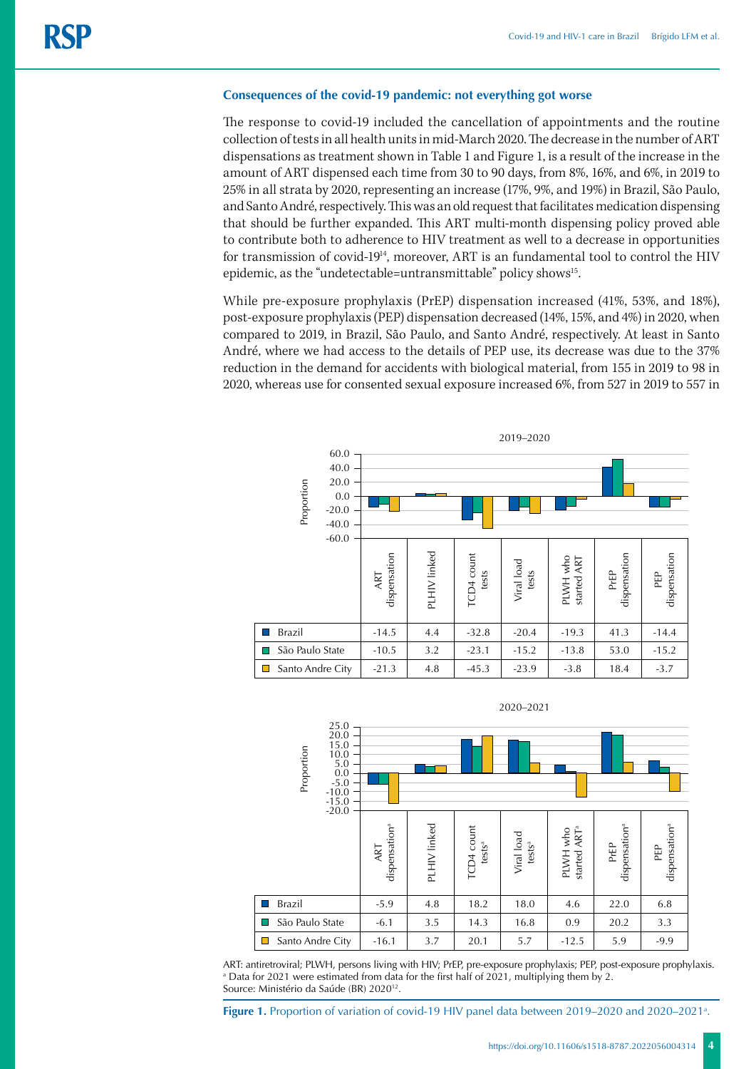### **Consequences of the covid-19 pandemic: not everything got worse**

The response to covid-19 included the cancellation of appointments and the routine collection of tests in all health units in mid-March 2020. The decrease in the number of ART dispensations as treatment shown in Table 1 and Figure 1, is a result of the increase in the amount of ART dispensed each time from 30 to 90 days, from 8%, 16%, and 6%, in 2019 to 25% in all strata by 2020, representing an increase (17%, 9%, and 19%) in Brazil, São Paulo, and Santo André, respectively. This was an old request that facilitates medication dispensing that should be further expanded. This ART multi-month dispensing policy proved able to contribute both to adherence to HIV treatment as well to a decrease in opportunities for transmission of covid-1914, moreover, ART is an fundamental tool to control the HIV epidemic, as the "undetectable=untransmittable" policy shows<sup>15</sup>.

While pre-exposure prophylaxis (PrEP) dispensation increased (41%, 53%, and 18%), post-exposure prophylaxis (PEP) dispensation decreased (14%, 15%, and 4%) in 2020, when compared to 2019, in Brazil, São Paulo, and Santo André, respectively. At least in Santo André, where we had access to the details of PEP use, its decrease was due to the 37% reduction in the demand for accidents with biological material, from 155 in 2019 to 98 in 2020, whereas use for consented sexual exposure increased 6%, from 527 in 2019 to 557 in





ART: antiretroviral; PLWH, persons living with HIV; PrEP, pre-exposure prophylaxis; PEP, post-exposure prophylaxis. a Data for 2021 were estimated from data for the first half of 2021, multiplying them by 2. Source: Ministério da Saúde (BR) 2020<sup>12</sup>.

Figure 1. Proportion of variation of covid-19 HIV panel data between 2019–2020 and 2020–2021<sup>a</sup>.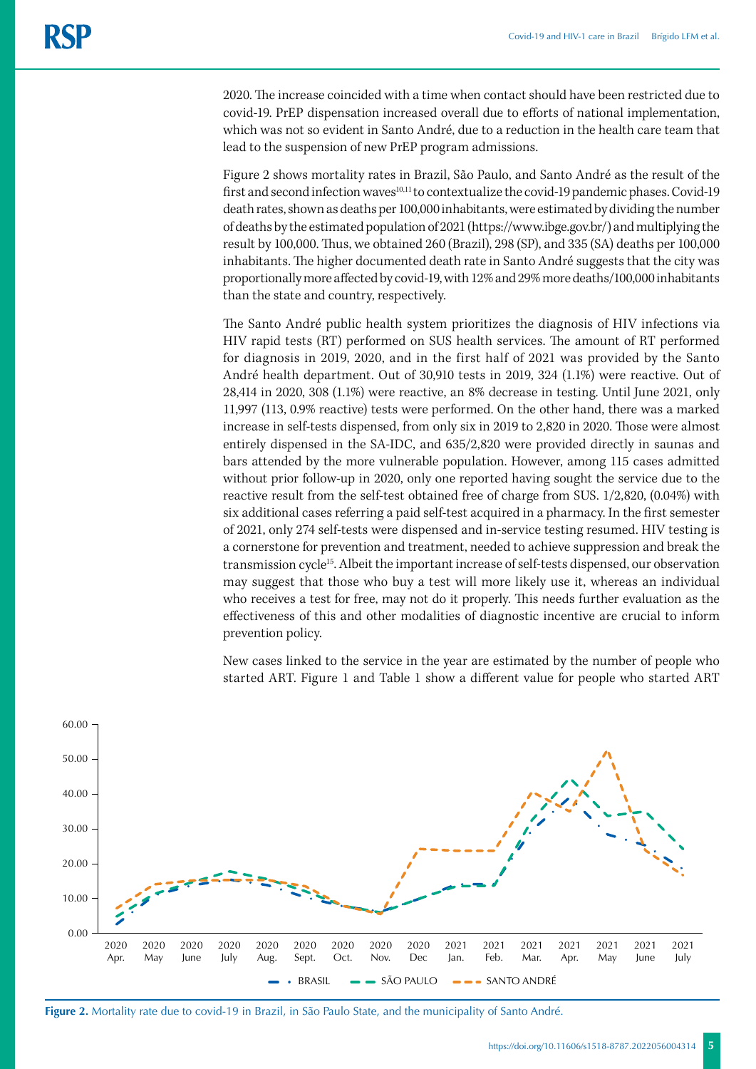2020. The increase coincided with a time when contact should have been restricted due to covid-19. PrEP dispensation increased overall due to efforts of national implementation, which was not so evident in Santo André, due to a reduction in the health care team that lead to the suspension of new PrEP program admissions.

Figure 2 shows mortality rates in Brazil, São Paulo, and Santo André as the result of the first and second infection waves<sup>10,11</sup> to contextualize the covid-19 pandemic phases. Covid-19 death rates, shown as deaths per 100,000 inhabitants, were estimated by dividing the number of deaths by the estimated population of 2021 ([https://www.ibge.gov.br/](about:blank)) and multiplying the result by 100,000. Thus, we obtained 260 (Brazil), 298 (SP), and 335 (SA) deaths per 100,000 inhabitants. The higher documented death rate in Santo André suggests that the city was proportionally more affected by covid-19, with 12% and 29% more deaths/100,000 inhabitants than the state and country, respectively.

The Santo André public health system prioritizes the diagnosis of HIV infections via HIV rapid tests (RT) performed on SUS health services. The amount of RT performed for diagnosis in 2019, 2020, and in the first half of 2021 was provided by the Santo André health department. Out of 30,910 tests in 2019, 324 (1.1%) were reactive. Out of 28,414 in 2020, 308 (1.1%) were reactive, an 8% decrease in testing. Until June 2021, only 11,997 (113, 0.9% reactive) tests were performed. On the other hand, there was a marked increase in self-tests dispensed, from only six in 2019 to 2,820 in 2020. Those were almost entirely dispensed in the SA-IDC, and 635/2,820 were provided directly in saunas and bars attended by the more vulnerable population. However, among 115 cases admitted without prior follow-up in 2020, only one reported having sought the service due to the reactive result from the self-test obtained free of charge from SUS. 1/2,820, (0.04%) with six additional cases referring a paid self-test acquired in a pharmacy. In the first semester of 2021, only 274 self-tests were dispensed and in-service testing resumed. HIV testing is a cornerstone for prevention and treatment, needed to achieve suppression and break the transmission cycle<sup>15</sup>. Albeit the important increase of self-tests dispensed, our observation may suggest that those who buy a test will more likely use it, whereas an individual who receives a test for free, may not do it properly. This needs further evaluation as the effectiveness of this and other modalities of diagnostic incentive are crucial to inform prevention policy.

New cases linked to the service in the year are estimated by the number of people who started ART. Figure 1 and Table 1 show a different value for people who started ART



**Figure 2.** Mortality rate due to covid-19 in Brazil, in São Paulo State, and the municipality of Santo André.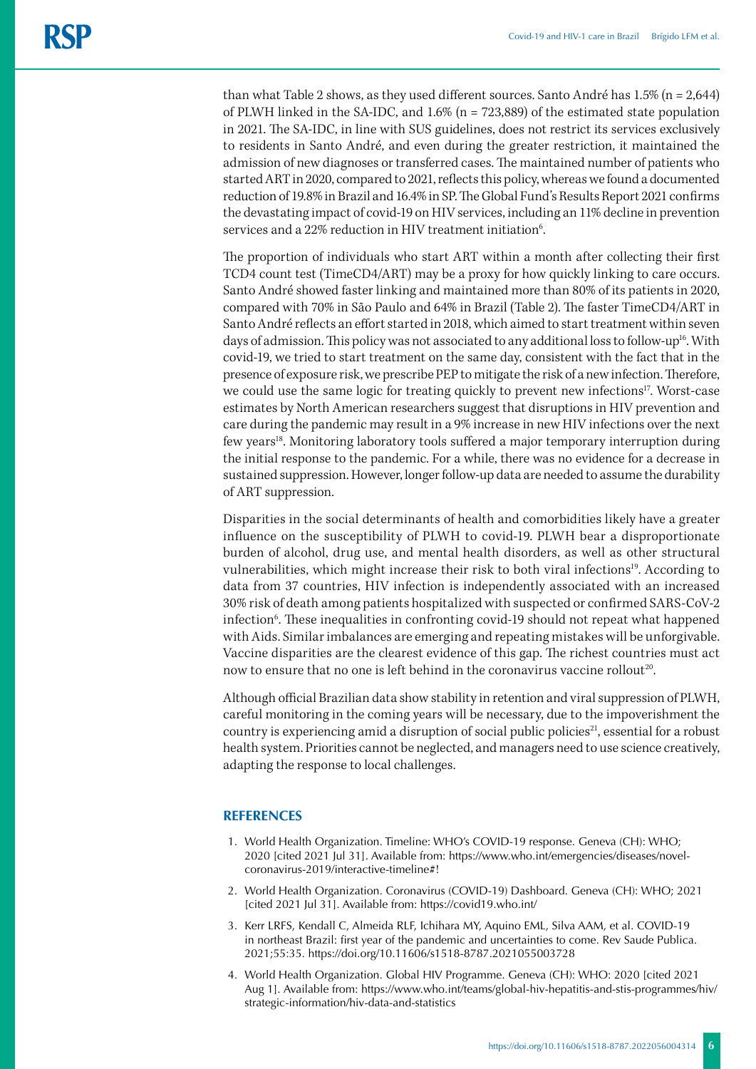than what Table 2 shows, as they used different sources. Santo André has 1.5% (n = 2,644) of PLWH linked in the SA-IDC, and 1.6% (n = 723,889) of the estimated state population in 2021. The SA-IDC, in line with SUS guidelines, does not restrict its services exclusively to residents in Santo André, and even during the greater restriction, it maintained the admission of new diagnoses or transferred cases. The maintained number of patients who started ART in 2020, compared to 2021, reflects this policy, whereas we found a documented reduction of 19.8% in Brazil and 16.4% in SP. The Global Fund's Results Report 2021 confirms the devastating impact of covid-19 on HIV services, including an 11% decline in prevention services and a 22% reduction in HIV treatment initiation<sup>6</sup>.

The proportion of individuals who start ART within a month after collecting their first TCD4 count test (TimeCD4/ART) may be a proxy for how quickly linking to care occurs. Santo André showed faster linking and maintained more than 80% of its patients in 2020, compared with 70% in São Paulo and 64% in Brazil (Table 2). The faster TimeCD4/ART in Santo André reflects an effort started in 2018, which aimed to start treatment within seven days of admission. This policy was not associated to any additional loss to follow-up<sup>16</sup>. With covid-19, we tried to start treatment on the same day, consistent with the fact that in the presence of exposure risk, we prescribe PEP to mitigate the risk of a new infection. Therefore, we could use the same logic for treating quickly to prevent new infections<sup>17</sup>. Worst-case estimates by North American researchers suggest that disruptions in HIV prevention and care during the pandemic may result in a 9% increase in new HIV infections over the next few years18. Monitoring laboratory tools suffered a major temporary interruption during the initial response to the pandemic. For a while, there was no evidence for a decrease in sustained suppression. However, longer follow-up data are needed to assume the durability of ART suppression.

Disparities in the social determinants of health and comorbidities likely have a greater influence on the susceptibility of PLWH to covid-19. PLWH bear a disproportionate burden of alcohol, drug use, and mental health disorders, as well as other structural vulnerabilities, which might increase their risk to both viral infections<sup>19</sup>. According to data from 37 countries, HIV infection is independently associated with an increased 30% risk of death among patients hospitalized with suspected or confirmed SARS-CoV-2 infection<sup>6</sup>. These inequalities in confronting covid-19 should not repeat what happened with Aids. Similar imbalances are emerging and repeating mistakes will be unforgivable. Vaccine disparities are the clearest evidence of this gap. The richest countries must act now to ensure that no one is left behind in the coronavirus vaccine rollout<sup>20</sup>.

Although official Brazilian data show stability in retention and viral suppression of PLWH, careful monitoring in the coming years will be necessary, due to the impoverishment the country is experiencing amid a disruption of social public policies<sup>21</sup>, essential for a robust health system. Priorities cannot be neglected, and managers need to use science creatively, adapting the response to local challenges.

### **REFERENCES**

- 1. World Health Organization. Timeline: WHO's COVID-19 response. Geneva (CH): WHO; 2020 [cited 2021 Jul 31]. Available from: [https://www.who.int/emergencies/diseases/novel](about:blank)[coronavirus-2019/interactive-timeline#](about:blank)!
- 2. World Health Organization. Coronavirus (COVID-19) Dashboard. Geneva (CH): WHO; 2021 [cited 2021 Jul 31]. Available from: [https://covid19.who.int/](about:blank)
- 3. Kerr LRFS, Kendall C, Almeida RLF, Ichihara MY, Aquino EML, Silva AAM, et al. COVID-19 in northeast Brazil: first year of the pandemic and uncertainties to come. Rev Saude Publica. 2021;55:35. https://doi.org/10.11606/s1518-8787.2021055003728
- 4. World Health Organization. Global HIV Programme. Geneva (CH): WHO: 2020 [cited 2021 Aug 1]. Available from: https://www.who.int/teams/global-hiv-hepatitis-and-stis-programmes/hiv/ strategic-information/hiv-data-and-statistics